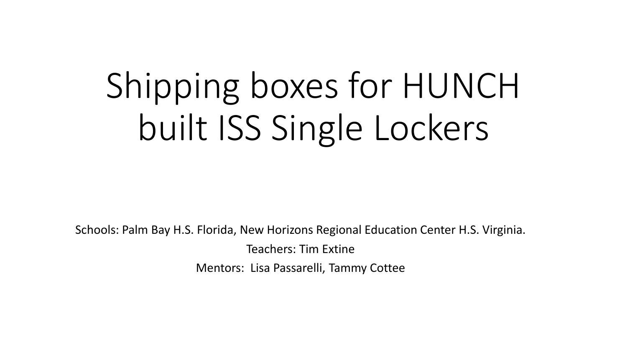## Shipping boxes for HUNCH built ISS Single Lockers

Schools: Palm Bay H.S. Florida, New Horizons Regional Education Center H.S. Virginia. Teachers: Tim Extine Mentors: Lisa Passarelli, Tammy Cottee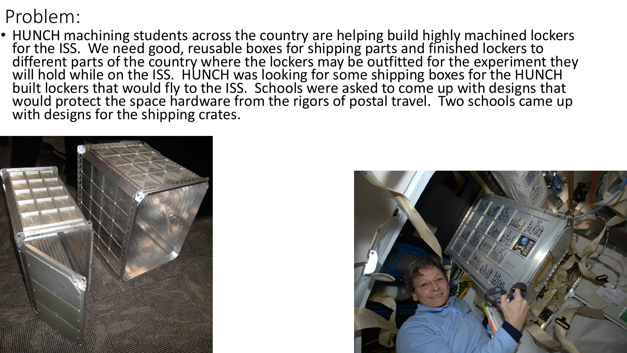## Problem:

• HUNCH machining students across the country are helping build highly machined lockers for the ISS. We need good, reusable boxes for shipping parts and finished lockers to different parts of the country where the lockers may be outfitted for the experiment they will hold while on the ISS. HUNCH was looking for some shipping boxes for the HUNCH built lockers that would fly to the ISS. Schools were asked to come up with designs that would protect the space hardware from the rigors of postal travel. Two schools came up with designs for the shipping crates.



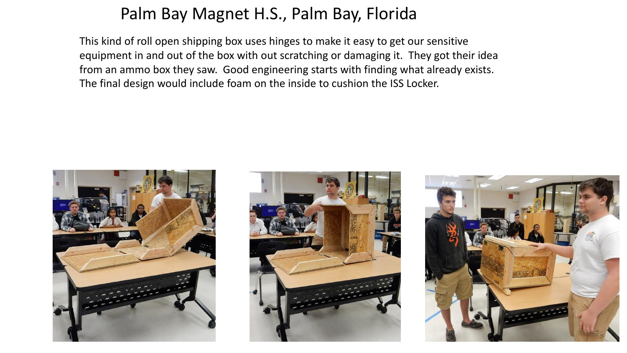## Palm Bay Magnet H.S., Palm Bay, Florida

This kind of roll open shipping box uses hinges to make it easy to get our sensitive equipment in and out of the box with out scratching or damaging it. They got their idea from an ammo box they saw. Good engineering starts with finding what already exists. The final design would include foam on the inside to cushion the ISS Locker.